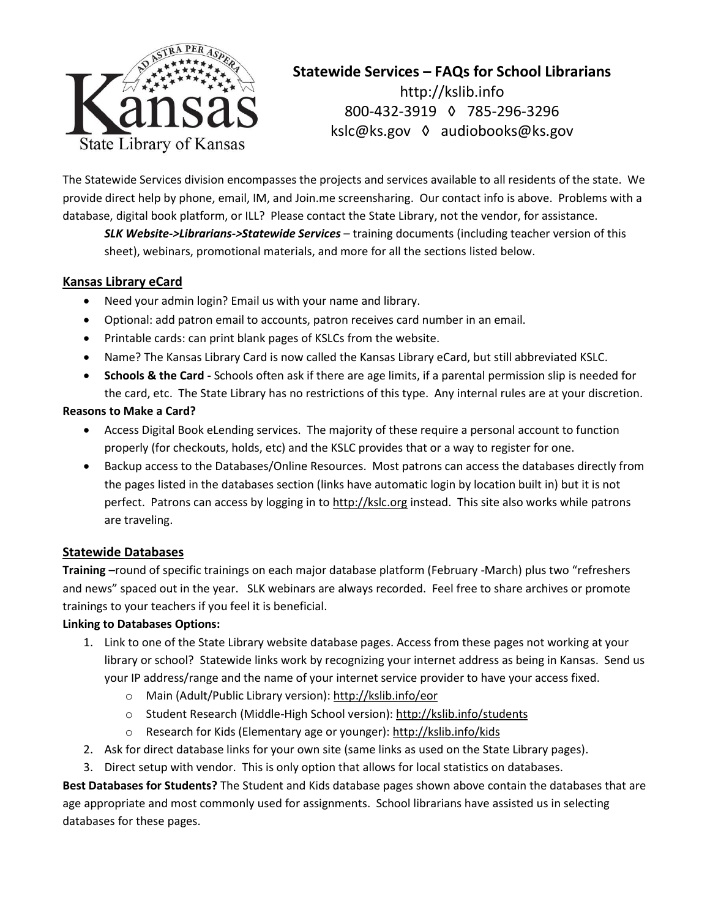

# **Statewide Services – FAQs for School Librarians** http://kslib.info 800-432-3919 ◊ 785-296-3296 kslc@ks.gov ◊ audiobooks@ks.gov

The Statewide Services division encompasses the projects and services available to all residents of the state. We provide direct help by phone, email, IM, and Join.me screensharing. Our contact info is above. Problems with a database, digital book platform, or ILL? Please contact the State Library, not the vendor, for assistance.

*SLK Website->Librarians->Statewide Services* – training documents (including teacher version of this sheet), webinars, promotional materials, and more for all the sections listed below.

# **Kansas Library eCard**

- Need your admin login? Email us with your name and library.
- Optional: add patron email to accounts, patron receives card number in an email.
- Printable cards: can print blank pages of KSLCs from the website.
- Name? The Kansas Library Card is now called the Kansas Library eCard, but still abbreviated KSLC.
- **Schools & the Card** Schools often ask if there are age limits, if a parental permission slip is needed for the card, etc. The State Library has no restrictions of this type. Any internal rules are at your discretion.

## **Reasons to Make a Card?**

- Access Digital Book eLending services. The majority of these require a personal account to function properly (for checkouts, holds, etc) and the KSLC provides that or a way to register for one.
- Backup access to the Databases/Online Resources. Most patrons can access the databases directly from the pages listed in the databases section (links have automatic login by location built in) but it is not perfect. Patrons can access by logging in to http://kslc.org instead. This site also works while patrons are traveling.

# **Statewide Databases**

**Training –**round of specific trainings on each major database platform (February -March) plus two "refreshers and news" spaced out in the year. SLK webinars are always recorded. Feel free to share archives or promote trainings to your teachers if you feel it is beneficial.

## **Linking to Databases Options:**

- 1. Link to one of the State Library website database pages. Access from these pages not working at your library or school? Statewide links work by recognizing your internet address as being in Kansas. Send us your IP address/range and the name of your internet service provider to have your access fixed.
	- o Main (Adult/Public Library version): http://kslib.info/eor
	- o Student Research (Middle-High School version): http://kslib.info/students
	- o Research for Kids (Elementary age or younger): http://kslib.info/kids
- 2. Ask for direct database links for your own site (same links as used on the State Library pages).
- 3. Direct setup with vendor. This is only option that allows for local statistics on databases.

**Best Databases for Students?** The Student and Kids database pages shown above contain the databases that are age appropriate and most commonly used for assignments. School librarians have assisted us in selecting databases for these pages.